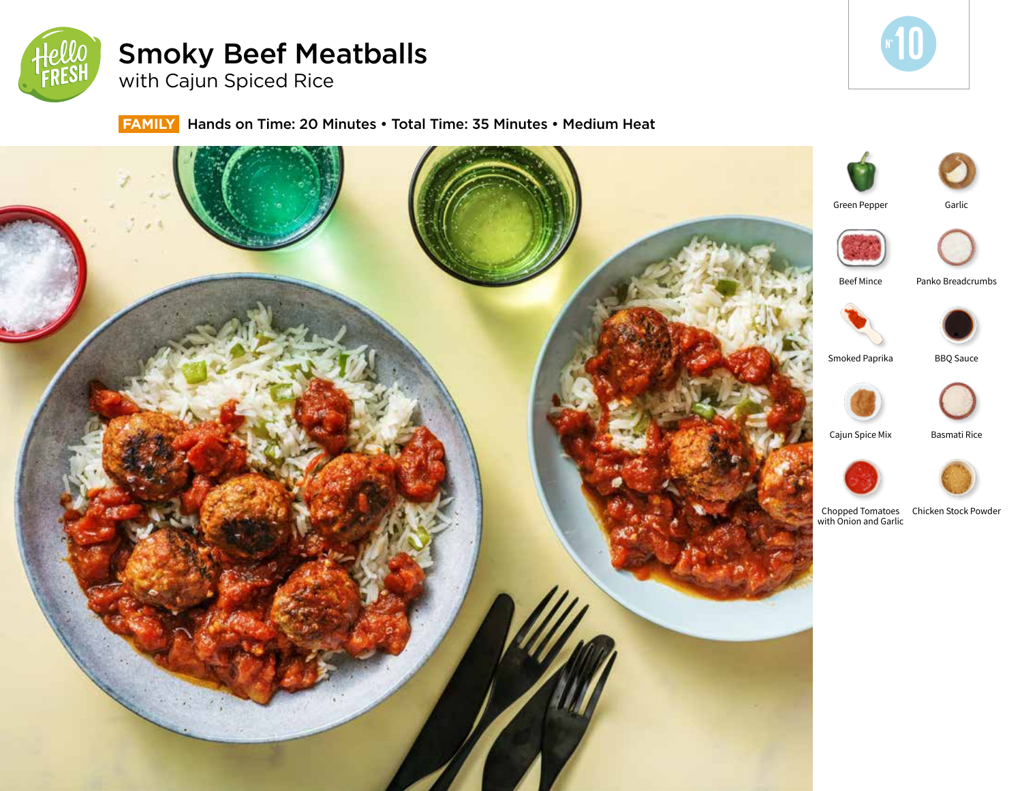

# Smoky Beef Meatballs

with Cajun Spiced Rice

# **FAMILY** Hands on Time: 20 Minutes • Total Time: 35 Minutes • Medium Heat